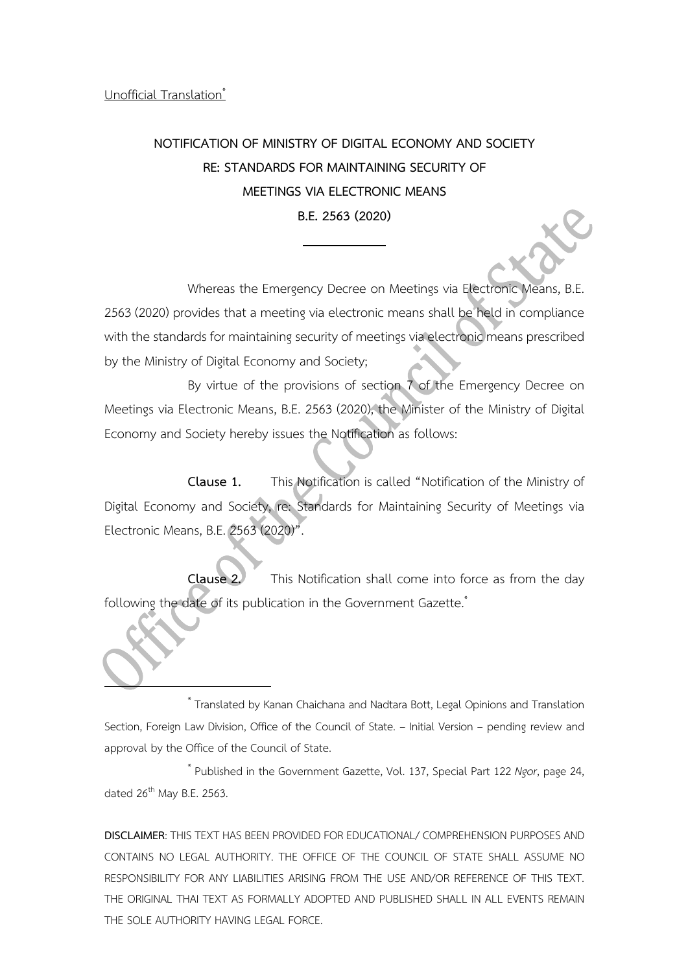Unofficial Translation\*

# **NOTIFICATION OF MINISTRY OF DIGITAL ECONOMY AND SOCIETY RE: STANDARDS FOR MAINTAINING SECURITY OF MEETINGS VIA ELECTRONIC MEANS B.E. 2563 (2020)**

Whereas the Emergency Decree on Meetings via Electronic Means, B.E. 2563 (2020) provides that a meeting via electronic means shall be held in compliance with the standards for maintaining security of meetings via electronic means prescribed by the Ministry of Digital Economy and Society;

By virtue of the provisions of section 7 of the Emergency Decree on Meetings via Electronic Means, B.E. 2563 (2020), the Minister of the Ministry of Digital Economy and Society hereby issues the Notification as follows:

**Clause 1.** This Notification is called "Notification of the Ministry of Digital Economy and Society, re: Standards for Maintaining Security of Meetings via Electronic Means, B.E. 2563 (2020)".

**Clause 2.** This Notification shall come into force as from the day following the date of its publication in the Government Gazette.<sup>\*</sup>

\* Translated by Kanan Chaichana and Nadtara Bott, Legal Opinions and Translation Section, Foreign Law Division, Office of the Council of State. – Initial Version – pending review and approval by the Office of the Council of State.

\* Published in the Government Gazette, Vol. 137, Special Part 122 *Ngor*, page 24, dated  $26^{th}$  May B.E. 2563.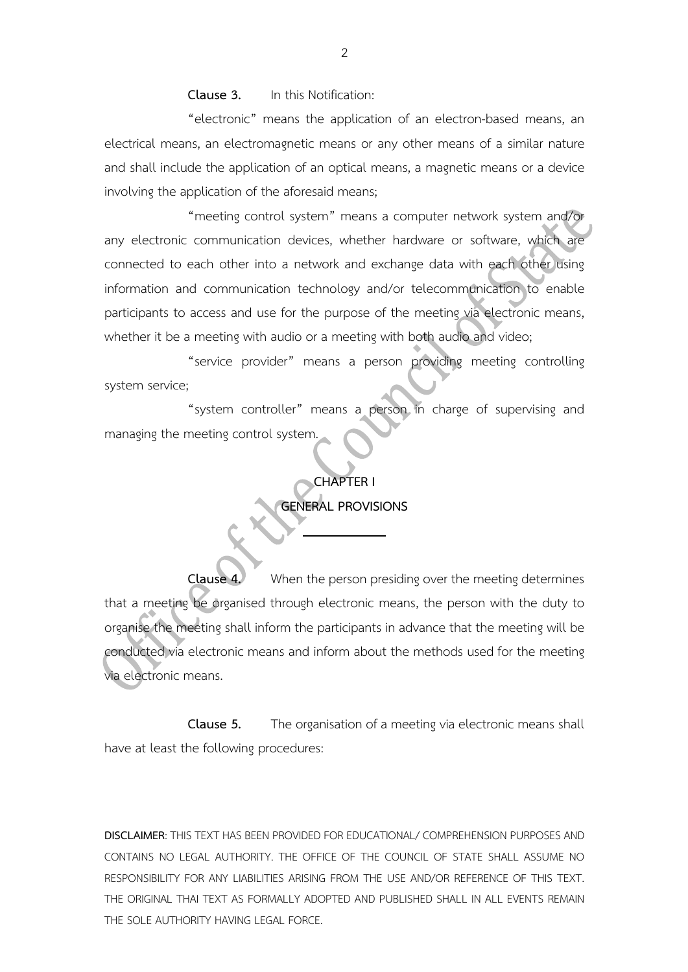**Clause 3.** In this Notification:

"electronic" means the application of an electron-based means, an electrical means, an electromagnetic means or any other means of a similar nature and shall include the application of an optical means, a magnetic means or a device involving the application of the aforesaid means;

"meeting control system" means a computer network system and/or any electronic communication devices, whether hardware or software, which are connected to each other into a network and exchange data with each other using information and communication technology and/or telecommunication to enable participants to access and use for the purpose of the meeting via electronic means, whether it be a meeting with audio or a meeting with both audio and video;

"service provider" means a person providing meeting controlling system service;

"system controller" means a person in charge of supervising and managing the meeting control system.

### **CHAPTER I**

### **GENERAL PROVISIONS**

**Clause 4.** When the person presiding over the meeting determines that a meeting be organised through electronic means, the person with the duty to organise the meeting shall inform the participants in advance that the meeting will be conducted via electronic means and inform about the methods used for the meeting via electronic means.

**Clause 5.** The organisation of a meeting via electronic means shall have at least the following procedures: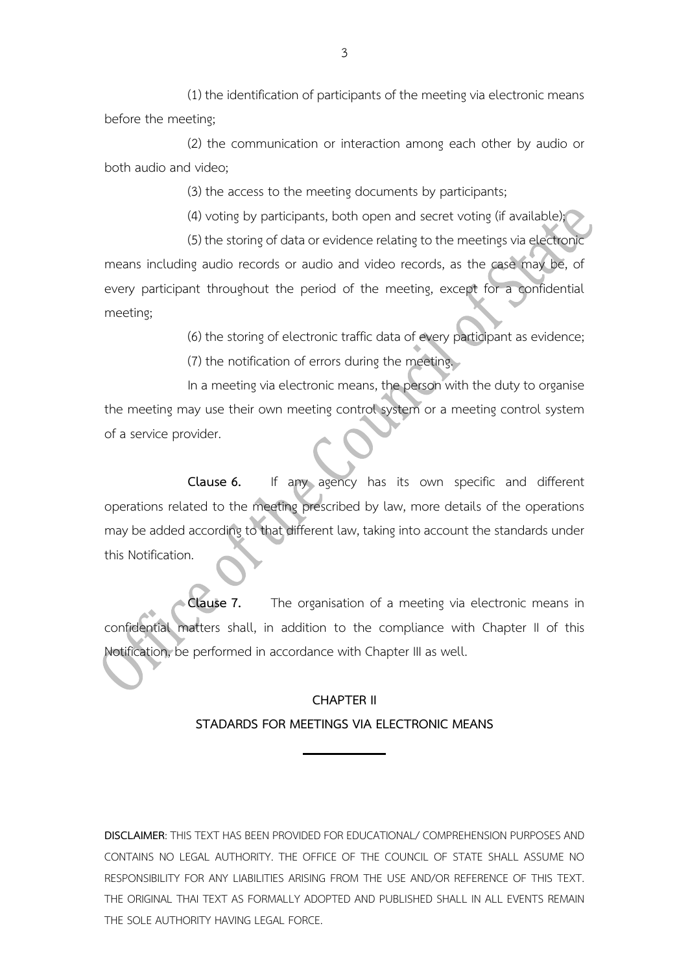(1) the identification of participants of the meeting via electronic means before the meeting;

(2) the communication or interaction among each other by audio or both audio and video;

(3) the access to the meeting documents by participants;

(4) voting by participants, both open and secret voting (if available);

(5) the storing of data or evidence relating to the meetings via electronic means including audio records or audio and video records, as the case may be, of every participant throughout the period of the meeting, except for a confidential meeting;

> (6) the storing of electronic traffic data of every participant as evidence; (7) the notification of errors during the meeting.

In a meeting via electronic means, the person with the duty to organise the meeting may use their own meeting control system or a meeting control system of a service provider.

**Clause 6.** If any agency has its own specific and different operations related to the meeting prescribed by law, more details of the operations may be added according to that different law, taking into account the standards under this Notification.

**Clause 7.** The organisation of a meeting via electronic means in confidential matters shall, in addition to the compliance with Chapter II of this Notification, be performed in accordance with Chapter III as well.

### **CHAPTER II STADARDS FOR MEETINGS VIA ELECTRONIC MEANS**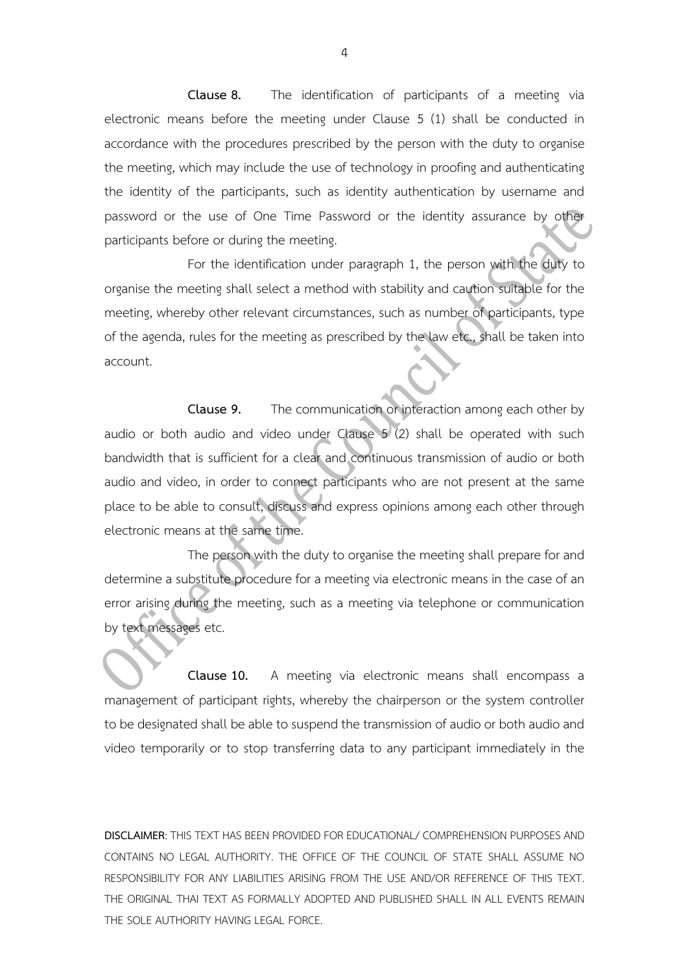**Clause 8.** The identification of participants of a meeting via electronic means before the meeting under Clause 5 (1) shall be conducted in accordance with the procedures prescribed by the person with the duty to organise the meeting, which may include the use of technology in proofing and authenticating the identity of the participants, such as identity authentication by username and password or the use of One Time Password or the identity assurance by other participants before or during the meeting.

For the identification under paragraph 1, the person with the duty to organise the meeting shall select a method with stability and caution suitable for the meeting, whereby other relevant circumstances, such as number of participants, type of the agenda, rules for the meeting as prescribed by the law etc., shall be taken into account.

**Clause 9.** The communication or interaction among each other by audio or both audio and video under Clause 5 (2) shall be operated with such bandwidth that is sufficient for a clear and continuous transmission of audio or both audio and video, in order to connect participants who are not present at the same place to be able to consult, discuss and express opinions among each other through electronic means at the same time.

The person with the duty to organise the meeting shall prepare for and determine a substitute procedure for a meeting via electronic means in the case of an error arising during the meeting, such as a meeting via telephone or communication by text messages etc.

**Clause 10.** A meeting via electronic means shall encompass a management of participant rights, whereby the chairperson or the system controller to be designated shall be able to suspend the transmission of audio or both audio and video temporarily or to stop transferring data to any participant immediately in the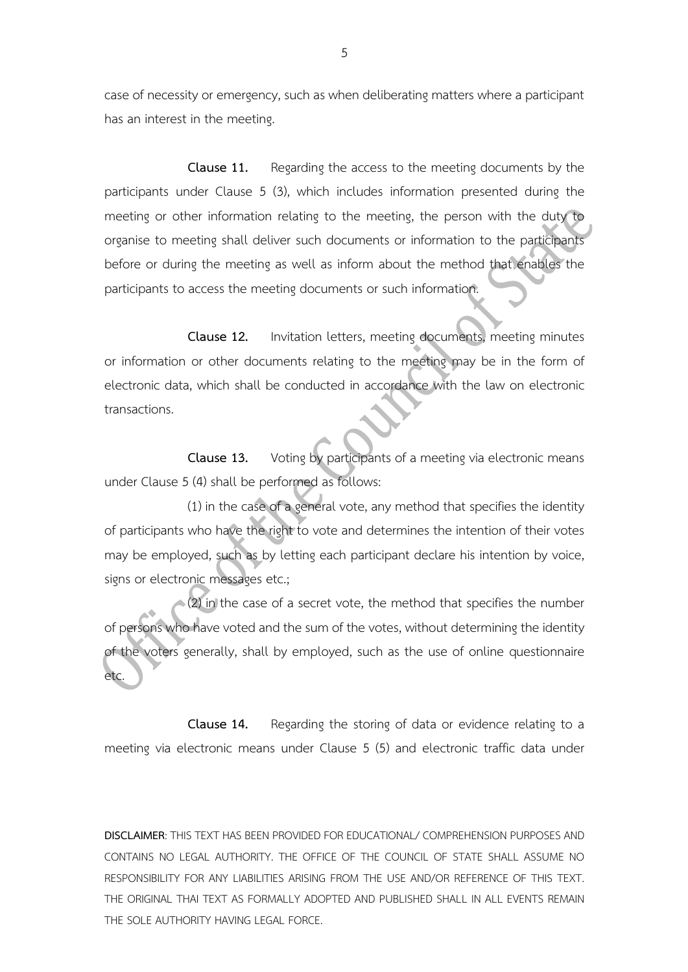case of necessity or emergency, such as when deliberating matters where a participant has an interest in the meeting.

**Clause 11.** Regarding the access to the meeting documents by the participants under Clause 5 (3), which includes information presented during the meeting or other information relating to the meeting, the person with the duty to organise to meeting shall deliver such documents or information to the participants before or during the meeting as well as inform about the method that enables the participants to access the meeting documents or such information.

**Clause 12.** Invitation letters, meeting documents, meeting minutes or information or other documents relating to the meeting may be in the form of electronic data, which shall be conducted in accordance with the law on electronic transactions.

**Clause 13.** Voting by participants of a meeting via electronic means under Clause 5 (4) shall be performed as follows:

(1) in the case of a general vote, any method that specifies the identity of participants who have the right to vote and determines the intention of their votes may be employed, such as by letting each participant declare his intention by voice, signs or electronic messages etc.;

(2) in the case of a secret vote, the method that specifies the number of persons who have voted and the sum of the votes, without determining the identity of the voters generally, shall by employed, such as the use of online questionnaire etc.

**Clause 14.** Regarding the storing of data or evidence relating to a meeting via electronic means under Clause 5 (5) and electronic traffic data under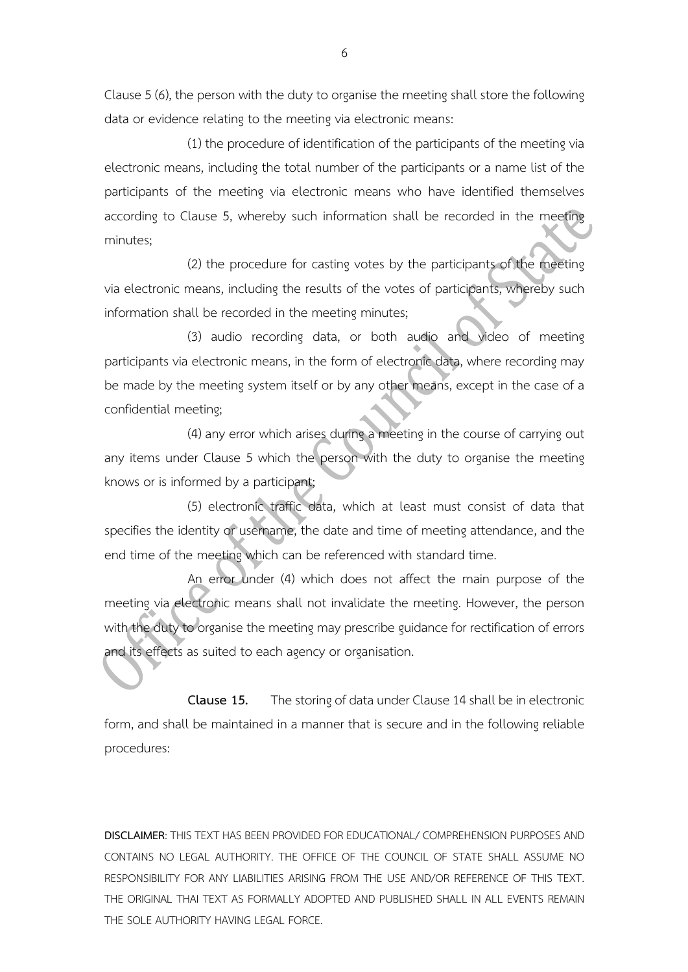Clause 5 (6), the person with the duty to organise the meeting shall store the following data or evidence relating to the meeting via electronic means:

(1) the procedure of identification of the participants of the meeting via electronic means, including the total number of the participants or a name list of the participants of the meeting via electronic means who have identified themselves according to Clause 5, whereby such information shall be recorded in the meeting minutes;

(2) the procedure for casting votes by the participants of the meeting via electronic means, including the results of the votes of participants, whereby such information shall be recorded in the meeting minutes;

(3) audio recording data, or both audio and video of meeting participants via electronic means, in the form of electronic data, where recording may be made by the meeting system itself or by any other means, except in the case of a confidential meeting;

(4) any error which arises during a meeting in the course of carrying out any items under Clause 5 which the person with the duty to organise the meeting knows or is informed by a participant;

(5) electronic traffic data, which at least must consist of data that specifies the identity or username, the date and time of meeting attendance, and the end time of the meeting which can be referenced with standard time.

An error under (4) which does not affect the main purpose of the meeting via electronic means shall not invalidate the meeting. However, the person with the duty to organise the meeting may prescribe guidance for rectification of errors and its effects as suited to each agency or organisation.

**Clause 15.** The storing of data under Clause 14 shall be in electronic form, and shall be maintained in a manner that is secure and in the following reliable procedures: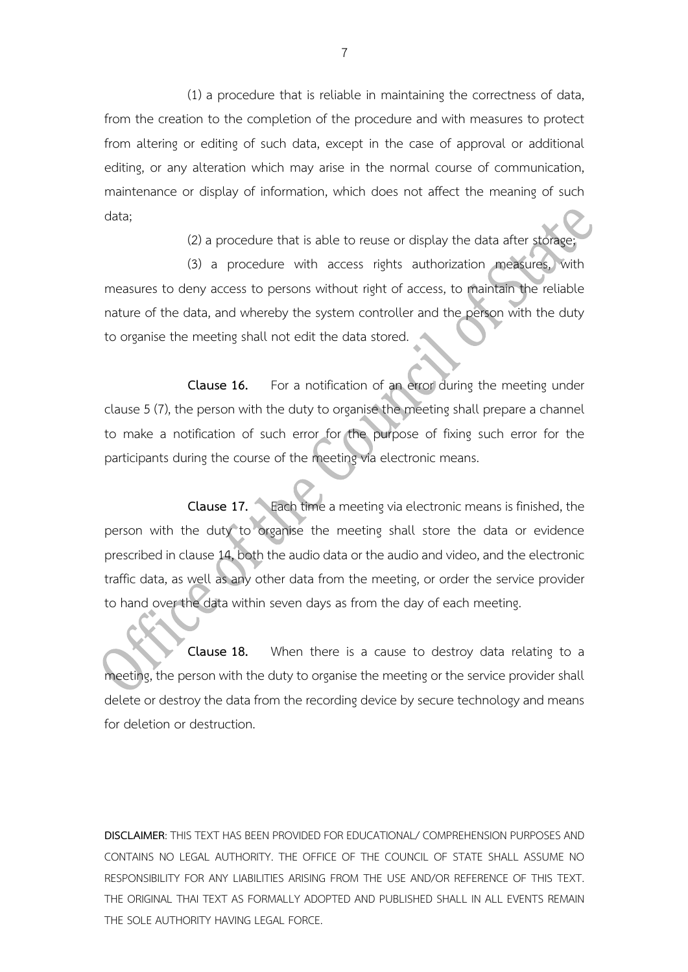(1) a procedure that is reliable in maintaining the correctness of data, from the creation to the completion of the procedure and with measures to protect from altering or editing of such data, except in the case of approval or additional editing, or any alteration which may arise in the normal course of communication, maintenance or display of information, which does not affect the meaning of such data;

(2) a procedure that is able to reuse or display the data after storage;

(3) a procedure with access rights authorization measures, with measures to deny access to persons without right of access, to maintain the reliable nature of the data, and whereby the system controller and the person with the duty to organise the meeting shall not edit the data stored.

**Clause 16.** For a notification of an error during the meeting under clause 5 (7), the person with the duty to organise the meeting shall prepare a channel to make a notification of such error for the purpose of fixing such error for the participants during the course of the meeting via electronic means.

**Clause 17.** Each time a meeting via electronic means is finished, the person with the duty to organise the meeting shall store the data or evidence prescribed in clause 14, both the audio data or the audio and video, and the electronic traffic data, as well as any other data from the meeting, or order the service provider to hand over the data within seven days as from the day of each meeting.

**Clause 18.** When there is a cause to destroy data relating to a meeting, the person with the duty to organise the meeting or the service provider shall delete or destroy the data from the recording device by secure technology and means for deletion or destruction.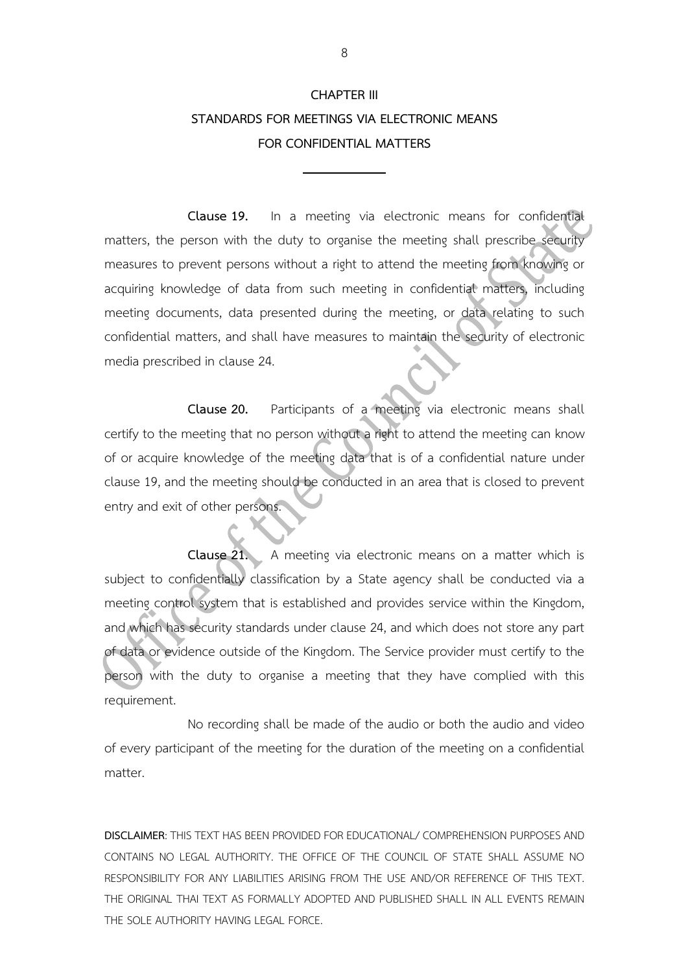## **CHAPTER III STANDARDS FOR MEETINGS VIA ELECTRONIC MEANS FOR CONFIDENTIAL MATTERS**

**Clause 19.** In a meeting via electronic means for confidential matters, the person with the duty to organise the meeting shall prescribe security measures to prevent persons without a right to attend the meeting from knowing or acquiring knowledge of data from such meeting in confidential matters, including meeting documents, data presented during the meeting, or data relating to such confidential matters, and shall have measures to maintain the security of electronic media prescribed in clause 24.

**Clause 20.** Participants of a meeting via electronic means shall certify to the meeting that no person without a right to attend the meeting can know of or acquire knowledge of the meeting data that is of a confidential nature under clause 19, and the meeting should be conducted in an area that is closed to prevent entry and exit of other persons.

**Clause 21.** A meeting via electronic means on a matter which is subject to confidentially classification by a State agency shall be conducted via a meeting control system that is established and provides service within the Kingdom, and which has security standards under clause 24, and which does not store any part of data or evidence outside of the Kingdom. The Service provider must certify to the person with the duty to organise a meeting that they have complied with this requirement.

No recording shall be made of the audio or both the audio and video of every participant of the meeting for the duration of the meeting on a confidential matter.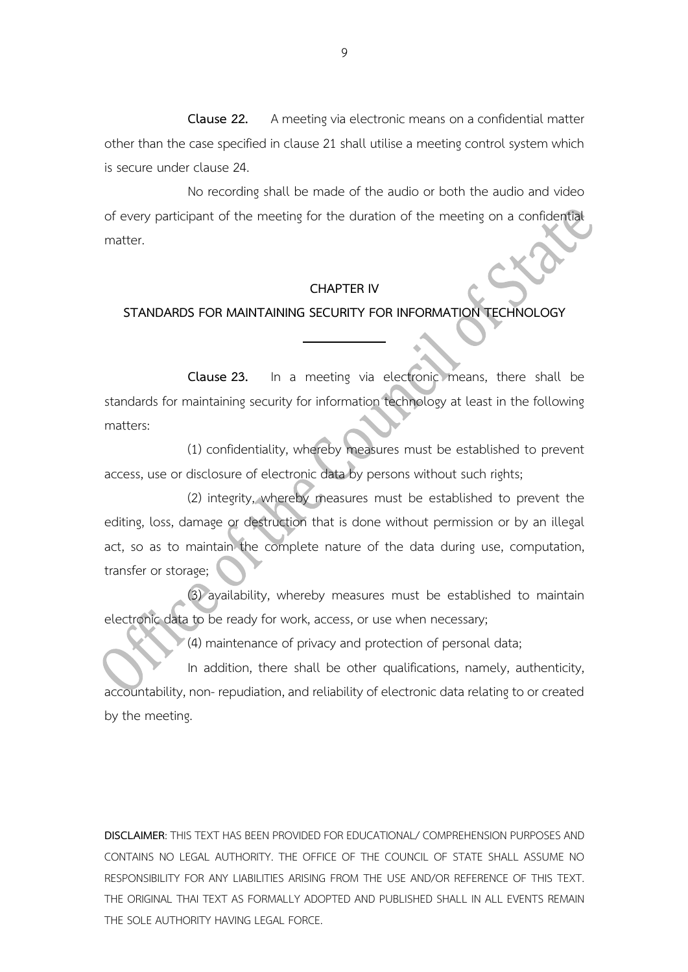**Clause 22.** A meeting via electronic means on a confidential matter other than the case specified in clause 21 shall utilise a meeting control system which is secure under clause 24.

No recording shall be made of the audio or both the audio and video of every participant of the meeting for the duration of the meeting on a confidential matter.

### **CHAPTER IV**

### **STANDARDS FOR MAINTAINING SECURITY FOR INFORMATION TECHNOLOGY**

**Clause 23.** In a meeting via electronic means, there shall be standards for maintaining security for information technology at least in the following matters:

(1) confidentiality, whereby measures must be established to prevent access, use or disclosure of electronic data by persons without such rights;

(2) integrity, whereby measures must be established to prevent the editing, loss, damage or destruction that is done without permission or by an illegal act, so as to maintain the complete nature of the data during use, computation, transfer or storage;

(3) availability, whereby measures must be established to maintain electronic data to be ready for work, access, or use when necessary;

(4) maintenance of privacy and protection of personal data;

In addition, there shall be other qualifications, namely, authenticity, accountability, non- repudiation, and reliability of electronic data relating to or created by the meeting.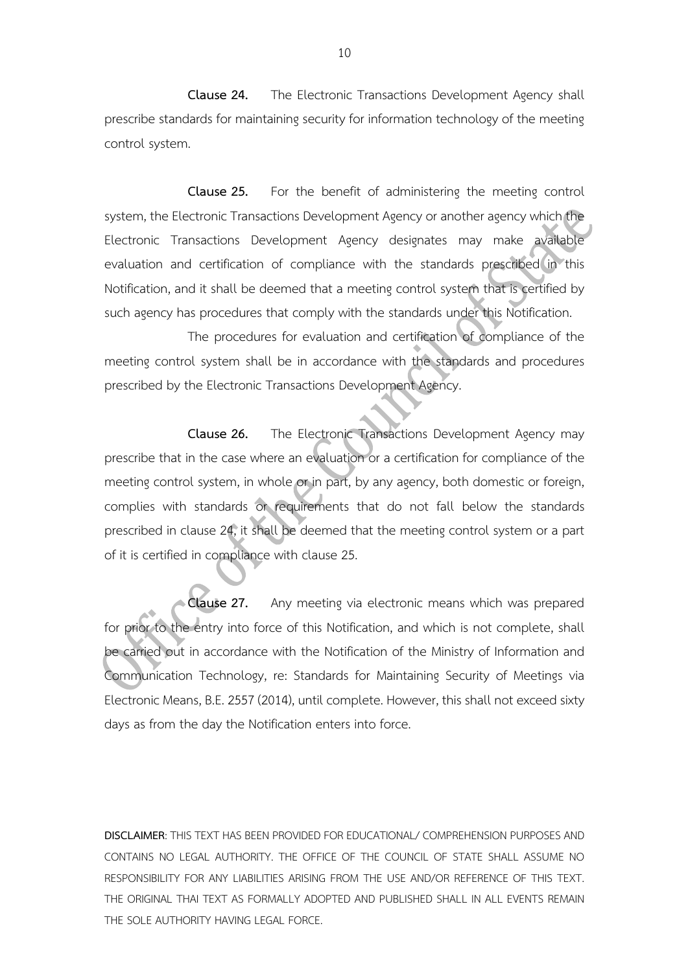**Clause 24.** The Electronic Transactions Development Agency shall prescribe standards for maintaining security for information technology of the meeting control system.

**Clause 25.** For the benefit of administering the meeting control system, the Electronic Transactions Development Agency or another agency which the Electronic Transactions Development Agency designates may make available evaluation and certification of compliance with the standards prescribed in this Notification, and it shall be deemed that a meeting control system that is certified by such agency has procedures that comply with the standards under this Notification.

The procedures for evaluation and certification of compliance of the meeting control system shall be in accordance with the standards and procedures prescribed by the Electronic Transactions Development Agency.

**Clause 26.** The Electronic Transactions Development Agency may prescribe that in the case where an evaluation or a certification for compliance of the meeting control system, in whole or in part, by any agency, both domestic or foreign, complies with standards or requirements that do not fall below the standards prescribed in clause 24, it shall be deemed that the meeting control system or a part of it is certified in compliance with clause 25.

**Clause 27.** Any meeting via electronic means which was prepared for prior to the entry into force of this Notification, and which is not complete, shall be carried out in accordance with the Notification of the Ministry of Information and Communication Technology, re: Standards for Maintaining Security of Meetings via Electronic Means, B.E. 2557 (2014), until complete. However, this shall not exceed sixty days as from the day the Notification enters into force.